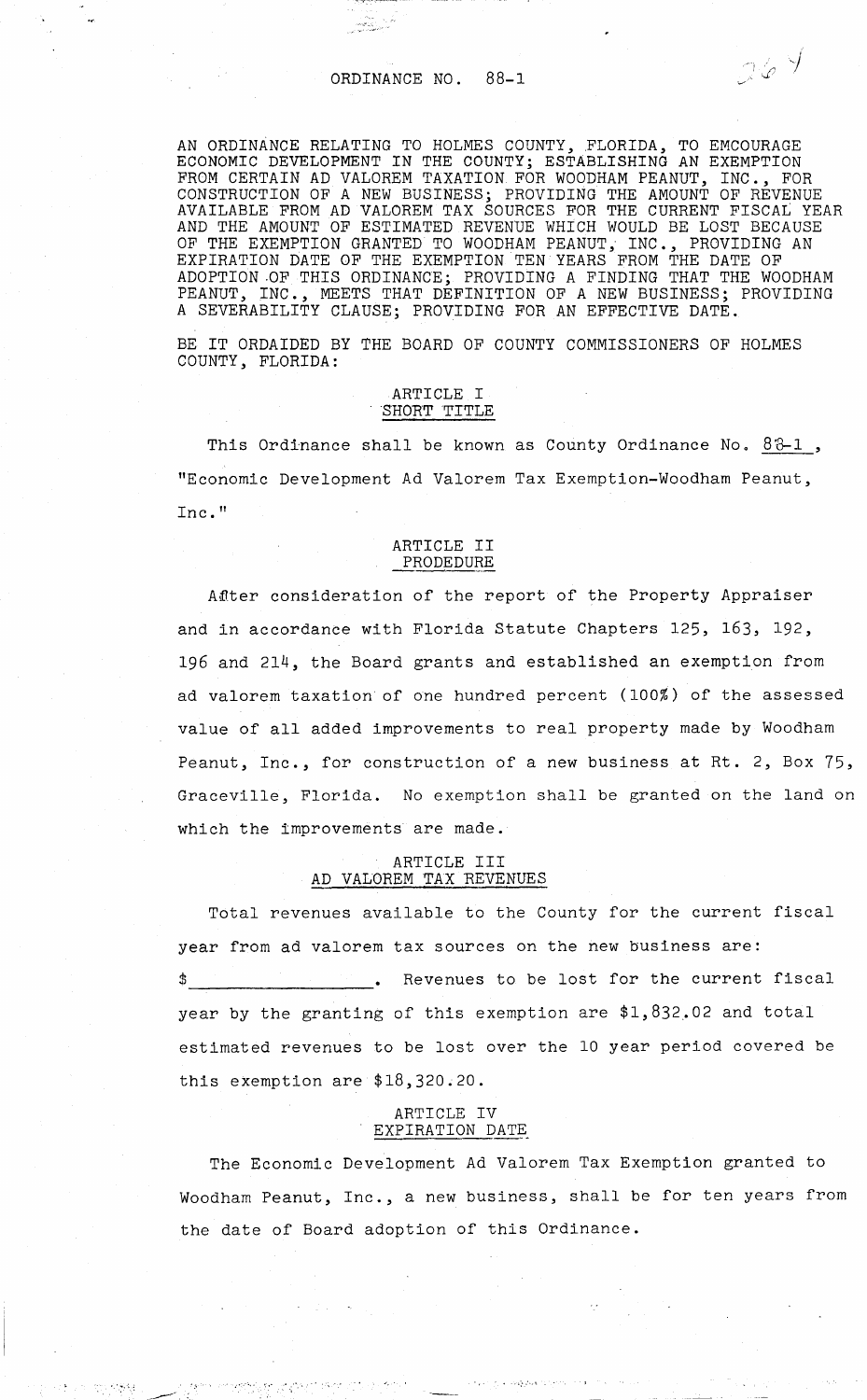کی استعمال<br>سابق کیکسی <sub>کی</sub>

AN ORDINANCE RELATING TO HOLMES COUNTY, FLORIDA, TO EMCOURAGE ECONOMIC DEVELOPMENT IN THE COUNTY; ESTABLISHING AN EXEMPTION FROM CERTAIN AD VALOREM TAXATION. FOR WOODHAM PEANUT, INC., FOR CONSTRUCTION OF A NEW BUSINESS; PROVIDING THE AMOUNT OF REVENUE AVAILABLE FROM AD VALOREM TAX SOURCES FOR THE CURRENT FISCAL YEAR AND THE AMOUNT OF ESTIMATED REVENUE WHICH WOULD BE LOST BECAUSE OF THE EXEMPTION GRANTED TO WOODHAM PEANUT, INC., PROVIDING AN EXPIRATION DATE OF THE EXEMPTION TEN YEARS FROM THE DATE OF ADOPTION OF THIS ORDINANCE; PROVIDING A FINDING THAT THE WOODHAM PEANUT, INC., MEETS THAT DEFINITION OF A NEW BUSINESS; PROVIDING INC., MEETS THAT DEFINITION OF A NEW BUSINESS; PROVIDING A SEVERABILITY CLAUSE; PROVIDING FOR AN EFFECTIVE DATE.

 $269$ 

BE IT ORDAIDED BY THE BOARD OF COUNTY COMMISSIONERS OF HOLMES COUNTY, FLORIDA:

# ARTICLE I<br>SHORT TITLE

This Ordinance shall be known as County Ordinance No.  $83-1$ , "Economic Development Ad Valorem Tax Exemption-Woodham Peanut, Inc."

### ARTICLE II PRODEDURE

After consideration of the report of the Property Appraiser and in accordance with Florida Statute Chapters 125, 163, 192, 196 and 214, the Board grants and established an exemption from ad valorem taxation of one hundred percent (100%) of the assessed value of all added improvements to real property made by Woodham Peanut, Inc., for construction of a new business at Rt. 2, Box 75, Graceville, Florida. No exemption shall be granted on the land on which the improvements are made.

### ARTICLE III AD VALOREM TAX REVENUES

Total revenues available to the County for the current fiscal year from ad valorem tax sources on the new business are: Revenues to be lost for the current fiscal year by the granting of this exemption are \$1,832.02 and total estimated revenues to be lost over the 10 year period covered be this exemption are \$18,320.20.

## ARTICLE IV EXPIRATION DATE

... '' '.·· ··:·.'·.,'

 $\mathcal{O}(\mathcal{O}_\mathcal{A})$ 

 $\label{eq:3} \mathcal{F}(\mathbf{v},\mathbf{b})\approx -\mathcal{F}(\mathcal{F}(\mathbf{v},\mathbf{c}))\mathcal{F}(\mathbf{c})$ 

The Economic Development Ad Valorem Tax Exemption granted to Woodham Peanut, Inc., a new business, shall be for ten years from the date of Board adoption of this Ordinance.